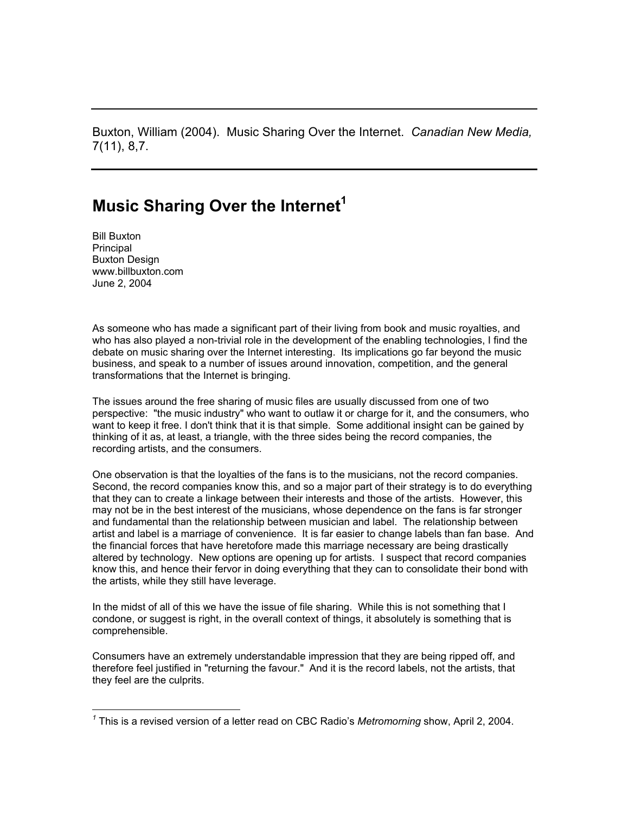Buxton, William (2004). Music Sharing Over the Internet. *Canadian New Media,* 7(11), 8,7.

## **Music Sharing Over the Internet[1](#page-0-0)**

Bill Buxton Principal Buxton Design www.billbuxton.com June 2, 2004

 $\overline{a}$ 

As someone who has made a significant part of their living from book and music royalties, and who has also played a non-trivial role in the development of the enabling technologies, I find the debate on music sharing over the Internet interesting. Its implications go far beyond the music business, and speak to a number of issues around innovation, competition, and the general transformations that the Internet is bringing.

The issues around the free sharing of music files are usually discussed from one of two perspective: "the music industry" who want to outlaw it or charge for it, and the consumers, who want to keep it free. I don't think that it is that simple. Some additional insight can be gained by thinking of it as, at least, a triangle, with the three sides being the record companies, the recording artists, and the consumers.

One observation is that the loyalties of the fans is to the musicians, not the record companies. Second, the record companies know this, and so a major part of their strategy is to do everything that they can to create a linkage between their interests and those of the artists. However, this may not be in the best interest of the musicians, whose dependence on the fans is far stronger and fundamental than the relationship between musician and label. The relationship between artist and label is a marriage of convenience. It is far easier to change labels than fan base. And the financial forces that have heretofore made this marriage necessary are being drastically altered by technology. New options are opening up for artists. I suspect that record companies know this, and hence their fervor in doing everything that they can to consolidate their bond with the artists, while they still have leverage.

In the midst of all of this we have the issue of file sharing. While this is not something that I condone, or suggest is right, in the overall context of things, it absolutely is something that is comprehensible.

Consumers have an extremely understandable impression that they are being ripped off, and therefore feel justified in "returning the favour." And it is the record labels, not the artists, that they feel are the culprits.

<span id="page-0-0"></span>*<sup>1</sup>* This is a revised version of a letter read on CBC Radio's *Metromorning* show, April 2, 2004.